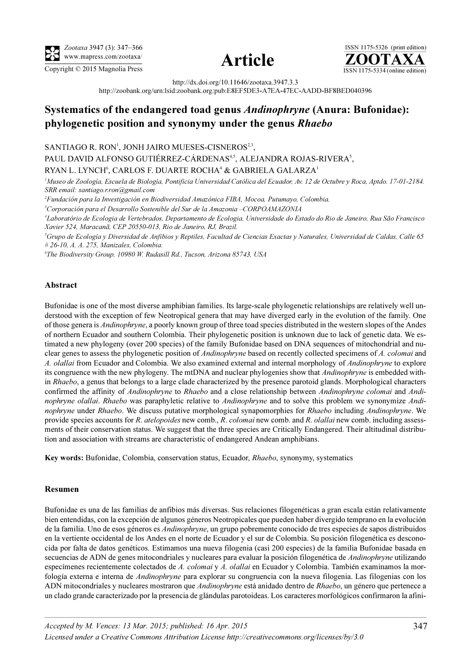

Zootaxa 3947 (3): 347–366 www.mapress.com/zootaxa/

Copyright © 2015 Magnolia Press ISSN 1175-5334 (online edition)



ISSN 1175-5326 (print edition)<br> $\overline{{\bf ZOOTAXA}}$ 

http://dx.doi.org/10.11646/zootaxa.3947.3.3

http://zoobank.org/urn:lsid:zoobank.org:pub:E8EF5DE3-A7EA-47EC-AADD-BF8BED040396

# Systematics of the endangered toad genus Andinophryne (Anura: Bufonidae): phylogenetic position and synonymy under the genus Rhaebo

SANTIAGO R. RON<sup>1</sup>, JONH JAIRO MUESES-CISNEROS<sup>2,3</sup>, PAUL DAVID ALFONSO GUTIÉRREZ-CÁRDENAS<sup>4,5</sup>, ALEJANDRA ROJAS-RIVERA<sup>5</sup>, RYAN L. LYNCH<sup>6</sup>, CARLOS F. DUARTE ROCHA<sup>4</sup> & GABRIELA GALARZA<sup>1</sup>

<sup>1</sup>Museo de Zoología, Escuela de Biología, Pontificia Universidad Católica del Ecuador, Av. 12 de Octubre y Roca, Aptdo. 17-01-2184. SRR email: santiago.r.ron@gmail.com

2 Fundación para la Investigación en Biodiversidad Amazónica FIBA, Mocoa, Putumayo, Colombia.

3 Corporación para el Desarrollo Sostenible del Sur de la Amazonia –CORPOAMAZONIA

4 Laboratório de Ecologia de Vertebrados, Departamento de Ecologia, Universidade do Estado do Rio de Janeiro, Rua São Francisco Xavier 524, Maracanã, CEP 20550-013, Rio de Janeiro, RJ, Brazil.

5 Grupo de Ecología y Diversidad de Anfibios y Reptiles, Facultad de Ciencias Exactas y Naturales, Universidad de Caldas, Calle 65 # 26-10, A. A. 275, Manizales, Colombia.

6 The Biodiversity Group, 10980 W. Rudasill Rd., Tucson, Arizona 85743, USA

## Abstract

Bufonidae is one of the most diverse amphibian families. Its large-scale phylogenetic relationships are relatively well understood with the exception of few Neotropical genera that may have diverged early in the evolution of the family. One of those genera is Andinophryne, a poorly known group of three toad species distributed in the western slopes of the Andes of northern Ecuador and southern Colombia. Their phylogenetic position is unknown due to lack of genetic data. We estimated a new phylogeny (over 200 species) of the family Bufonidae based on DNA sequences of mitochondrial and nuclear genes to assess the phylogenetic position of Andinophryne based on recently collected specimens of A. colomai and A. olallai from Ecuador and Colombia. We also examined external and internal morphology of Andinophryne to explore its congruence with the new phylogeny. The mtDNA and nuclear phylogenies show that *Andinophryne* is embedded within Rhaebo, a genus that belongs to a large clade characterized by the presence parotoid glands. Morphological characters confirmed the affinity of Andinophryne to Rhaebo and a close relationship between Andinophryne colomai and Andinophryne olallai. Rhaebo was paraphyletic relative to Andinophryne and to solve this problem we synonymize Andinophryne under Rhaebo. We discuss putative morphological synapomorphies for Rhaebo including Andinophryne. We provide species accounts for R. atelopoides new comb., R. colomai new comb. and R. olallai new comb. including assessments of their conservation status. We suggest that the three species are Critically Endangered. Their altitudinal distribution and association with streams are characteristic of endangered Andean amphibians.

Key words: Bufonidae, Colombia, conservation status, Ecuador, Rhaebo, synonymy, systematics

#### Resumen

Bufonidae es una de las familias de anfibios más diversas. Sus relaciones filogenéticas a gran escala están relativamente bien entendidas, con la excepción de algunos géneros Neotropicales que pueden haber divergido temprano en la evolución de la familia. Uno de esos géneros es *Andinophryne*, un grupo pobremente conocido de tres especies de sapos distribuidos en la vertiente occidental de los Andes en el norte de Ecuador y el sur de Colombia. Su posición filogenética es desconocida por falta de datos genéticos. Estimamos una nueva filogenia (casi 200 especies) de la familia Bufonidae basada en secuencias de ADN de genes mitocondriales y nucleares para evaluar la posición filogenética de Andinophryne utilizando especímenes recientemente colectados de A. colomai y A. olallai en Ecuador y Colombia. También examinamos la morfología externa e interna de Andinophryne para explorar su congruencia con la nueva filogenia. Las filogenias con los ADN mitocondriales y nucleares mostraron que *Andinophryne* está anidado dentro de Rhaebo, un género que pertenece a un clado grande caracterizado por la presencia de glándulas parotoideas. Los caracteres morfológicos confirmaron la afini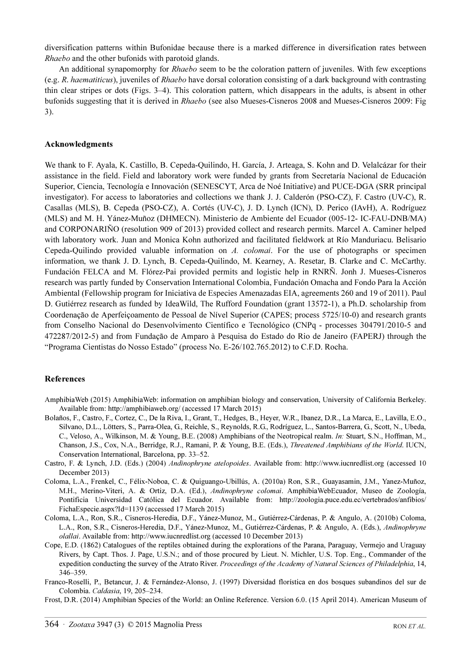diversification patterns within Bufonidae because there is a marked difference in diversification rates between Rhaebo and the other bufonids with parotoid glands.

An additional synapomorphy for *Rhaebo* seem to be the coloration pattern of juveniles. With few exceptions (e.g. R. haematiticus), juveniles of Rhaebo have dorsal coloration consisting of a dark background with contrasting thin clear stripes or dots (Figs. 3–4). This coloration pattern, which disappears in the adults, is absent in other bufonids suggesting that it is derived in Rhaebo (see also Mueses-Cisneros 2008 and Mueses-Cisneros 2009: Fig 3).

# Acknowledgments

We thank to F. Ayala, K. Castillo, B. Cepeda-Quilindo, H. García, J. Arteaga, S. Kohn and D. Velalcázar for their assistance in the field. Field and laboratory work were funded by grants from Secretaría Nacional de Educación Superior, Ciencia, Tecnología e Innovación (SENESCYT, Arca de Noé Initiative) and PUCE-DGA (SRR principal investigator). For access to laboratories and collections we thank J. J. Calderón (PSO-CZ), F. Castro (UV-C), R. Casallas (MLS), B. Cepeda (PSO-CZ), A. Cortés (UV-C), J. D. Lynch (ICN), D. Perico (IAvH), A. Rodríguez (MLS) and M. H. Yánez-Muñoz (DHMECN). Ministerio de Ambiente del Ecuador (005-12- IC-FAU-DNB/MA) and CORPONARIÑO (resolution 909 of 2013) provided collect and research permits. Marcel A. Caminer helped with laboratory work. Juan and Monica Kohn authorized and facilitated fieldwork at Río Manduriacu. Belisario Cepeda-Quilindo provided valuable information on A. colomai. For the use of photographs or specimen information, we thank J. D. Lynch, B. Cepeda-Quilindo, M. Kearney, A. Resetar, B. Clarke and C. McCarthy. Fundación FELCA and M. Flórez-Pai provided permits and logistic help in RNRÑ. Jonh J. Mueses-Cisneros research was partly funded by Conservation International Colombia, Fundación Omacha and Fondo Para la Acción Ambiental (Fellowship program for Iniciativa de Especies Amenazadas EIA, agreements 260 and 19 of 2011). Paul D. Gutiérrez research as funded by IdeaWild, The Rufford Foundation (grant 13572-1), a Ph.D. scholarship from Coordenação de Aperfeiçoamento de Pessoal de Nível Superior (CAPES; process 5725/10-0) and research grants from Conselho Nacional do Desenvolvimento Científico e Tecnológico (CNPq - processes 304791/2010-5 and 472287/2012-5) and from Fundação de Amparo à Pesquisa do Estado do Rio de Janeiro (FAPERJ) through the "Programa Cientistas do Nosso Estado" (process No. E-26/102.765.2012) to C.F.D. Rocha.

## References

- AmphibiaWeb (2015) AmphibiaWeb: information on amphibian biology and conservation, University of California Berkeley. Available from: http://amphibiaweb.org/ (accessed 17 March 2015)
- Bolaños, F., Castro, F., Cortez, C., De la Riva, I., Grant, T., Hedges, B., Heyer, W.R., Ibanez, D.R., La Marca, E., Lavilla, E.O., Silvano, D.L., Lötters, S., Parra-Olea, G., Reichle, S., Reynolds, R.G., Rodríguez, L., Santos-Barrera, G., Scott, N., Ubeda, C., Veloso, A., Wilkinson, M. & Young, B.E. (2008) Amphibians of the Neotropical realm. In: Stuart, S.N., Hoffman, M., Chanson, J.S., Cox, N.A., Berridge, R.J., Ramani, P. & Young, B.E. (Eds.), Threatened Amphibians of the World. IUCN, Conservation International, Barcelona, pp. 33–52.
- Castro, F. & Lynch, J.D. (Eds.) (2004) Andinophryne atelopoides. Available from: http://www.iucnredlist.org (accessed 10 December 2013)
- Coloma, L.A., Frenkel, C., Félix-Noboa, C. & Quiguango-Ubillús, A. (2010a) Ron, S.R., Guayasamin, J.M., Yanez-Muñoz, M.H., Merino-Viteri, A. & Ortiz, D.A. (Ed.), Andinophryne colomai[. AmphibiaWebEcuador, Museo de Zoología,](http://zoologia.puce.edu.ec/vertebrados/anfibios/FichaEspecie.aspx?Id=1139) [Pontificia Universidad Católica del Ecuador. Available from: http://zoologia.puce.edu.ec/vertebrados/anfibios/](http://zoologia.puce.edu.ec/vertebrados/anfibios/FichaEspecie.aspx?Id=1139) [FichaEspecie.aspx?Id=1139 \(accessed 17 March 2015\)](http://zoologia.puce.edu.ec/vertebrados/anfibios/FichaEspecie.aspx?Id=1139)

Coloma, L.A., Ron, S.R., Cisneros-Heredia, D.F., Yánez-Munoz, M., Gutiérrez-Cárdenas, P. & Angulo, A. (2010b) Coloma, L.A., Ron, S.R., Cisneros-Heredia, D.F., Yánez-Munoz, M., Gutiérrez-Cárdenas, P. & Angulo, A. (Eds.), Andinophryne olallai. Available from: http://www.iucnredlist.org (accessed 10 December 2013)

- Cope, E.D. (1862) Catalogues of the reptiles obtained during the explorations of the Parana, Paraguay, Vermejo and Uraguay Rivers, by Capt. Thos. J. Page, U.S.N.; and of those procured by Lieut. N. Michler, U.S. Top. Eng., Commander of the expedition conducting the survey of the Atrato River. Proceedings of the Academy of Natural Sciences of Philadelphia, 14, 346–359.
- Franco-Roselli, P., Betancur, J. & Fernández-Alonso, J. (1997) Diversidad florística en dos bosques subandinos del sur de Colombia. Caldasia, 19, 205–234.
- Frost, D.R. (2014) Amphibian Species of the World: an Online Reference. Version 6.0. (15 April 2014). American Museum of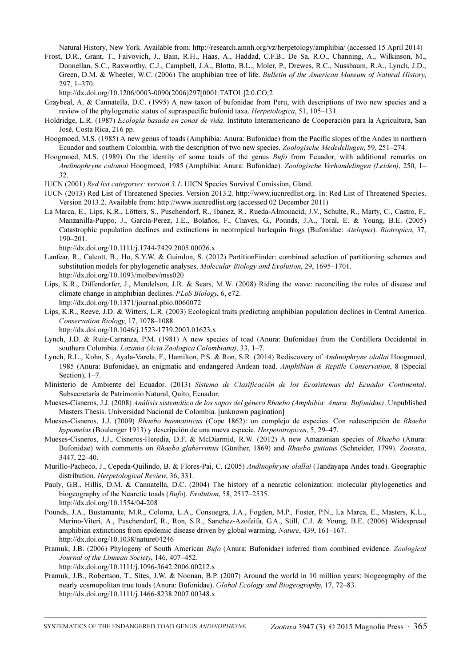Natural History, New York. Available from: http://research.amnh.org/vz/herpetology/amphibia/ (accessed 15 April 2014)

Frost, D.R., Grant, T., Faivovich, J., Bain, R.H., Haas, A., Haddad, C.F.B., De Sa, R.O., Channing, A., Wilkinson, M., Donnellan, S.C., Raxworthy, C.J., Campbell, J.A., Blotto, B.L., Moler, P., Drewes, R.C., Nussbaum, R.A., Lynch, J.D., Green[,](http://dx.doi.org/10.1206/0003-0090(2006)297[0001:TATOL]2.0.CO;2) D.M. & Wheeler, W.C. (2006) The amphibian tree of life. Bulletin of the American Museum of Natural History, 297, 1–370.

[http://dx.doi.org/10.1206/0003-0090\(2006\)297\[0001:TATOL\]2.0.CO;2](http://dx.doi.org/10.1206/0003-0090(2006)297[0001:TATOL]2.0.CO;2)

- Graybeal, A. & Cannatella, D.C. (1995) A new taxon of bufonidae from Peru, with descriptions of two new species and a review of the phylogenetic status of supraspecific bufonid taxa. *Herpetologica*, 51, 105–131.
- Holdridge, L.R. (1987) Ecología basada en zonas de vida. Instituto Interamericano de Cooperación para la Agricultura, San José, Costa Rica, 216 pp.
- Hoogmoed, M.S. (1985) A new genus of toads (Amphibia: Anura: Bufonidae) from the Pacific slopes of the Andes in northern Ecuador and southern Colombia, with the description of two new species. Zoologische Mededelingen, 59, 251–274.
- Hoogmoed, M.S. (1989) On the identity of some toads of the genus *Bufo* from Ecuador, with additional remarks on Andinophryne colomai Hoogmoed, 1985 (Amphibia: Anura: Bufonidae). Zoologische Verhandelingen (Leiden), 250, 1– 32.
- IUCN (2001) Red list categories: version 3.1. UICN Species Survival Comission, Gland.
- IUCN (2013) Red List of Threatened Species. Version 2013.2. http://www.iucnredlist.org. In: Red List of Threatened Species. Version 2013.2. Available from: http://www.iucnredlist.org (accessed 02 December 2011)
- La Marca, E., Lips, K.R., Lötters, S., Puschendorf, R., Ibanez, R., Rueda-Almonacid, J.V., Schulte, R., Marty, C., Castro, F., Manzanilla-Puppo, J., García-Perez, J.E., Bolaños, F., Chaves, G., Pounds, J.A., Toral, E. & Young, B.E. (2005) Catastrophic population declines and extinctions in neotropical harlequin frogs (Bufonidae: Atelopus). Biotropica, 37, 190–201.

<http://dx.doi.org/10.1111/j.1744-7429.2005.00026.x>

- Lanfear, R., Calcott, B., Ho, S.Y.W. & Guindon, S. (2012) PartitionFinder: combined selection of partitioning schemes and substitution models for phylogenetic analyses. Molecular Biology and Evolution, 29, 1695–1701. <http://dx.doi.org/10.1093/molbev/mss020>
- Lips, K.R., Diffendorfer, J., Mendelson, J.R. & Sears, M.W. (2008) Riding the wave: reconciling the roles of disease and climate change in amphibian declines. PLoS Biology, 6, e72. <http://dx.doi.org/10.1371/journal.pbio.0060072>
- Lips, K.R., Reeve, J.D. & Witters, L.R. (2003) Ecological traits predicting amphibian population declines in Central America. Conservation Biology[, 17, 1078–1088.](http://dx.doi.org/10.1046/j.1523-1739.)

http://dx.doi.org/10.1046/j.1523-1739.2003.01623.x

- Lynch, J.D. & Ruíz-Carranza, P.M. (1981) A new species of toad (Anura: Bufonidae) from the Cordillera Occidental in southern Colombia. Lozania (Acta Zoologica Colombiana), 33, 1–7.
- Lynch, R.L., Kohn, S., Ayala-Varela, F., Hamilton, P.S. & Ron, S.R. (2014) Rediscovery of Andinophryne olallai Hoogmoed, 1985 (Anura: Bufonidae), an enigmatic and endangered Andean toad. Amphibian & Reptile Conservation, 8 (Special Section),  $1-7$ .
- Ministerio de Ambiente del Ecuador. (2013) Sistema de Clasificación de los Ecosistemas del Ecuador Continental. Subsecretaría de Patrimonio Natural, Quito, Ecuador.
- Mueses-Cisneros, J.J. (2008) Análisis sistemático de los sapos del género Rhaebo (Amphibia: Anura: Bufonidae). Unpublished Masters Thesis. Universidad Nacional de Colombia. [unknown pagination]
- Mueses-Cisneros, J.J. (2009) Rhaebo haematiticus (Cope 1862): un complejo de especies. Con redescripción de Rhaebo hypomelas (Boulenger 1913) y descripción de una nueva especie. Herpetotropicos, 5, 29–47.
- Mueses-Cisneros, J.J., Cisneros-Heredia, D.F. & McDiarmid, R.W. (2012) A new Amazonian species of Rhaebo (Anura: Bufonidae) with comments on Rhaebo glaberrimus (Günther, 1869) and Rhaebo guttatus (Schneider, 1799). Zootaxa, 3447, 22–40.
- Murillo-Pacheco, J., Cepeda-Quilindo, B. & Flores-Pai, C. (2005) Andinophryne olallai (Tandayapa Andes toad). Geographic distribution. Herpetological Review, 36, 331.
- Pauly, G.B., Hillis, D.M. & Cannatella, D.C. (2004) The history of a nearctic colonization: molecular phylogenetics and biogeography of the Nearctic toads (Bufo). Evolution, 58, 2517–2535. <http://dx.doi.org/10.1554/04-208>
- Pounds, J.A., Bustamante, M.R., Coloma, L.A., Consuegra, J.A., Fogden, M.P., Foster, P.N., La Marca, E., Masters, K.L., Merino-Viteri, A., Puschendorf, R., Ron, S.R., Sanchez-Azofeifa, G.A., Still, C.J. & Young, B.E. (2006) Widespread amphibian extinctions from epidemic disease driven by global warming. Nature, 439, 161–167. <http://dx.doi.org/10.1038/nature04246>
- Pramuk, J.B. (2006) Phylogeny of South American Bufo (Anura: Bufonidae) inferred from combined evidence. Zoological Journal of the Linnean Society, 146, 407–452.
- [h](http://dx.doi.org/10.1111/j.1096-3642.2006.00212.x)ttp://dx.doi.org/10.1111/j.1096-3642.2006.00212.x
- Pramuk, J.B., Robertson, T., Sites, J.W. & Noonan, B.P. (2007) Around the world in 10 million years: biogeography of the nearly cosmopolitan true toads (Anura: Bufonidae). Global Ecology and Biogeography, 17, 72–83. <http://dx.doi.org/10.1111/j.1466-8238.2007.00348.x>